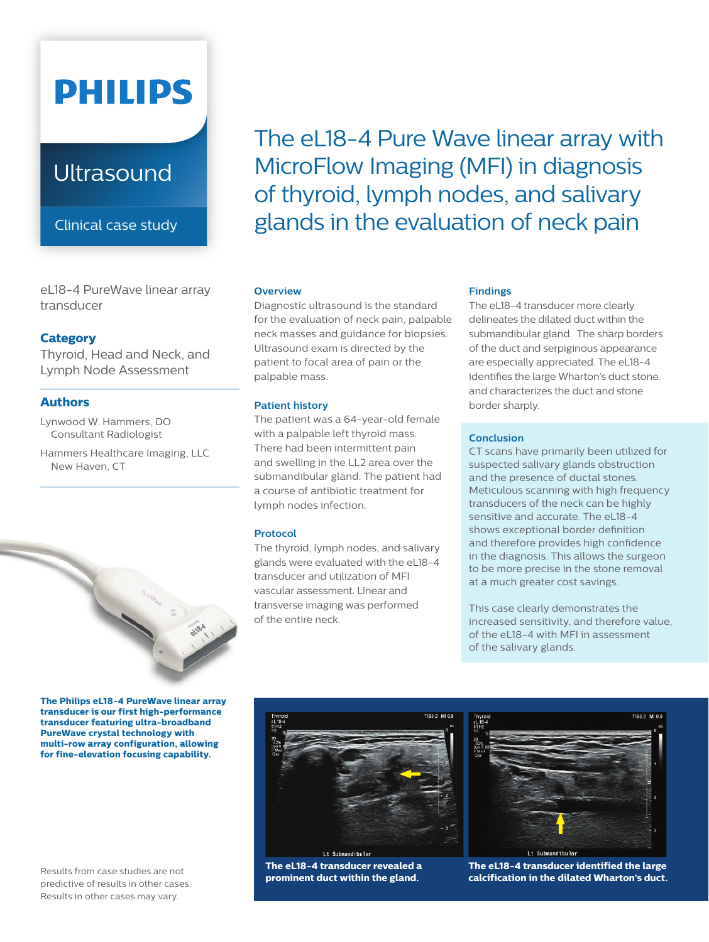# **PHILIPS**

### **Ultrasound**

Clinical case study

eL18-4 PureWave linear array transducer

#### **Category**

Thyroid, Head and Neck, and Lymph Node Assessment

#### **Authors**

Lynwood W. Hammers, DO Consultant Radiologist

Hammers Healthcare Imaging, LLC New Haven, CT



**The Philips eL18-4 PureWave linear array transducer is our first high-performance transducer featuring ultra-broadband PureWave crystal technology with multi-row array configuration, allowing for fine-elevation focusing capability.**

Results from case studies are not predictive of results in other cases. Results in other cases may vary.

The eL18-4 Pure Wave linear array with MicroFlow Imaging (MFI) in diagnosis of thyroid, lymph nodes, and salivary glands in the evaluation of neck pain

#### **Overview**

Diagnostic ultrasound is the standard for the evaluation of neck pain, palpable neck masses and guidance for biopsies. Ultrasound exam is directed by the patient to focal area of pain or the palpable mass.

#### **Patient history**

The patient was a 64-year-old female with a palpable left thyroid mass. There had been intermittent pain and swelling in the LL2 area over the submandibular gland. The patient had a course of antibiotic treatment for lymph nodes infection.

#### **Protocol**

The thyroid, lymph nodes, and salivary glands were evaluated with the eL18-4 transducer and utilization of MFI vascular assessment. Linear and transverse imaging was performed of the entire neck.

#### **Findings**

The eL18-4 transducer more clearly delineates the dilated duct within the submandibular gland. The sharp borders of the duct and serpiginous appearance are especially appreciated. The eL18-4 identifies the large Wharton's duct stone and characterizes the duct and stone border sharply.

#### **Conclusion**

CT scans have primarily been utilized for suspected salivary glands obstruction and the presence of ductal stones. Meticulous scanning with high frequency transducers of the neck can be highly sensitive and accurate. The eL18-4 shows exceptional border definition and therefore provides high confidence in the diagnosis. This allows the surgeon to be more precise in the stone removal at a much greater cost savings.

This case clearly demonstrates the increased sensitivity, and therefore value, of the eL18-4 with MFI in assessment of the salivary glands.



**The eL18-4 transducer revealed a prominent duct within the gland.**



**The eL18-4 transducer identified the large calcification in the dilated Wharton's duct.**